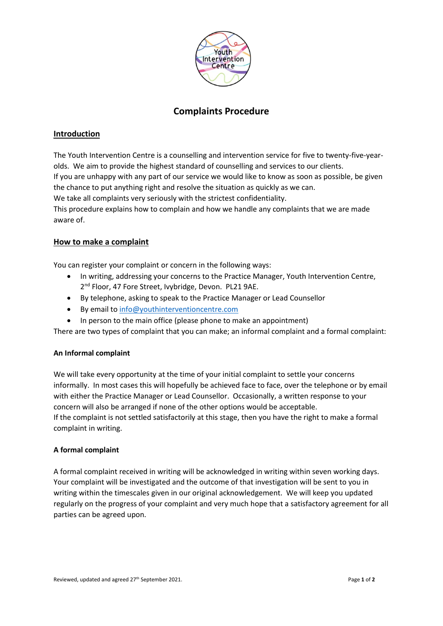

# **Complaints Procedure**

# **Introduction**

The Youth Intervention Centre is a counselling and intervention service for five to twenty-five-yearolds. We aim to provide the highest standard of counselling and services to our clients.

If you are unhappy with any part of our service we would like to know as soon as possible, be given the chance to put anything right and resolve the situation as quickly as we can.

We take all complaints very seriously with the strictest confidentiality.

This procedure explains how to complain and how we handle any complaints that we are made aware of.

## **How to make a complaint**

You can register your complaint or concern in the following ways:

- In writing, addressing your concerns to the Practice Manager, Youth Intervention Centre, 2<sup>nd</sup> Floor, 47 Fore Street, Ivybridge, Devon. PL21 9AE.
- By telephone, asking to speak to the Practice Manager or Lead Counsellor
- By email t[o info@youthinterventioncentre.com](mailto:info@youthinterventioncentre.com)
- In person to the main office (please phone to make an appointment)

There are two types of complaint that you can make; an informal complaint and a formal complaint:

#### **An Informal complaint**

We will take every opportunity at the time of your initial complaint to settle your concerns informally. In most cases this will hopefully be achieved face to face, over the telephone or by email with either the Practice Manager or Lead Counsellor. Occasionally, a written response to your concern will also be arranged if none of the other options would be acceptable. If the complaint is not settled satisfactorily at this stage, then you have the right to make a formal complaint in writing.

#### **A formal complaint**

A formal complaint received in writing will be acknowledged in writing within seven working days. Your complaint will be investigated and the outcome of that investigation will be sent to you in writing within the timescales given in our original acknowledgement. We will keep you updated regularly on the progress of your complaint and very much hope that a satisfactory agreement for all parties can be agreed upon.